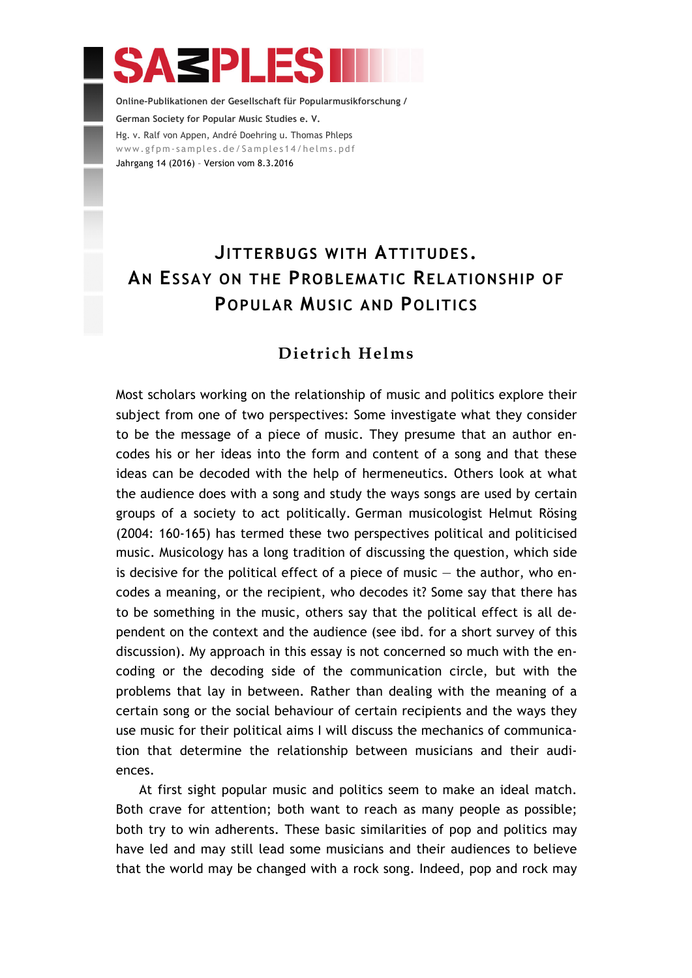# **ASPLES**

**Online-Publikationen der Gesellschaft für Popularmusikforschung / German Society for Popular Music Studies e. V.** Hg. v. Ralf von Appen, André Doehring u. Thomas Phleps www.gfpm-samples.de/Samples14/helms.pdf Jahrgang 14 (2016) – Version vom 8.3.2016

## **JITTERBUGS WITH ATTITUDES. AN ESSAY ON THE PROBLEMATIC RELATIONSHIP OF POPULAR MUSIC AND POLITICS**

## **Dietrich Helms**

Most scholars working on the relationship of music and politics explore their subject from one of two perspectives: Some investigate what they consider to be the message of a piece of music. They presume that an author encodes his or her ideas into the form and content of a song and that these ideas can be decoded with the help of hermeneutics. Others look at what the audience does with a song and study the ways songs are used by certain groups of a society to act politically. German musicologist Helmut Rösing (2004: 160-165) has termed these two perspectives political and politicised music. Musicology has a long tradition of discussing the question, which side is decisive for the political effect of a piece of music  $-$  the author, who encodes a meaning, or the recipient, who decodes it? Some say that there has to be something in the music, others say that the political effect is all dependent on the context and the audience (see ibd. for a short survey of this discussion). My approach in this essay is not concerned so much with the encoding or the decoding side of the communication circle, but with the problems that lay in between. Rather than dealing with the meaning of a certain song or the social behaviour of certain recipients and the ways they use music for their political aims I will discuss the mechanics of communication that determine the relationship between musicians and their audiences.

At first sight popular music and politics seem to make an ideal match. Both crave for attention; both want to reach as many people as possible; both try to win adherents. These basic similarities of pop and politics may have led and may still lead some musicians and their audiences to believe that the world may be changed with a rock song. Indeed, pop and rock may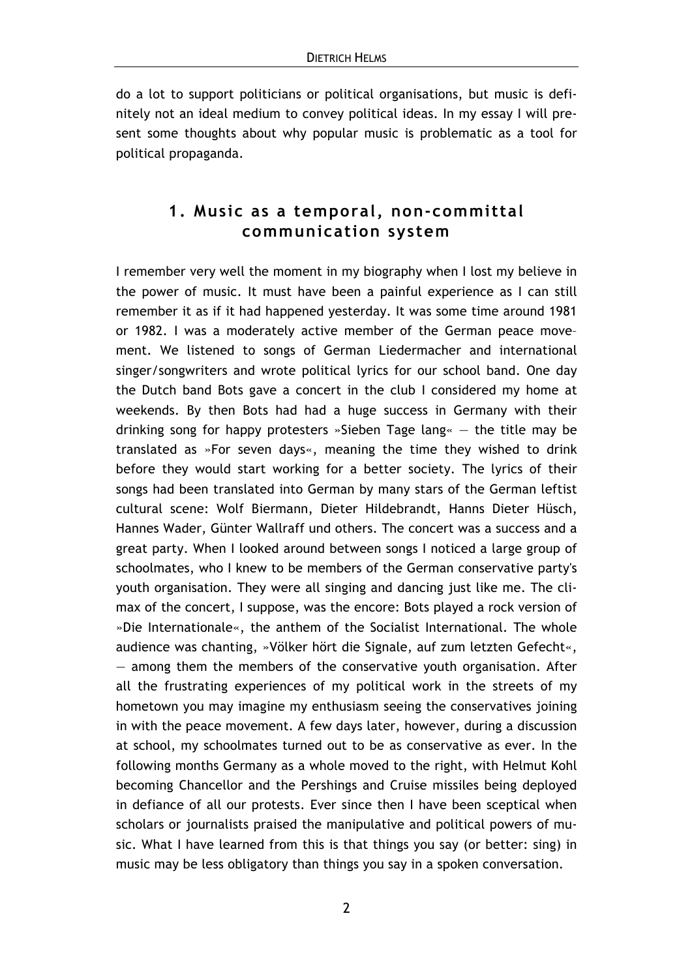do a lot to support politicians or political organisations, but music is definitely not an ideal medium to convey political ideas. In my essay I will present some thoughts about why popular music is problematic as a tool for political propaganda.

## **1. Music as a temporal, non-committal communication system**

I remember very well the moment in my biography when I lost my believe in the power of music. It must have been a painful experience as I can still remember it as if it had happened yesterday. It was some time around 1981 or 1982. I was a moderately active member of the German peace move– ment. We listened to songs of German Liedermacher and international singer/songwriters and wrote political lyrics for our school band. One day the Dutch band Bots gave a concert in the club I considered my home at weekends. By then Bots had had a huge success in Germany with their drinking song for happy protesters »Sieben Tage lang« — the title may be translated as »For seven days«, meaning the time they wished to drink before they would start working for a better society. The lyrics of their songs had been translated into German by many stars of the German leftist cultural scene: Wolf Biermann, Dieter Hildebrandt, Hanns Dieter Hüsch, Hannes Wader, Günter Wallraff und others. The concert was a success and a great party. When I looked around between songs I noticed a large group of schoolmates, who I knew to be members of the German conservative party's youth organisation. They were all singing and dancing just like me. The climax of the concert, I suppose, was the encore: Bots played a rock version of »Die Internationale«, the anthem of the Socialist International. The whole audience was chanting, »Völker hört die Signale, auf zum letzten Gefecht«,  $-$  among them the members of the conservative youth organisation. After all the frustrating experiences of my political work in the streets of my hometown you may imagine my enthusiasm seeing the conservatives joining in with the peace movement. A few days later, however, during a discussion at school, my schoolmates turned out to be as conservative as ever. In the following months Germany as a whole moved to the right, with Helmut Kohl becoming Chancellor and the Pershings and Cruise missiles being deployed in defiance of all our protests. Ever since then I have been sceptical when scholars or journalists praised the manipulative and political powers of music. What I have learned from this is that things you say (or better: sing) in music may be less obligatory than things you say in a spoken conversation.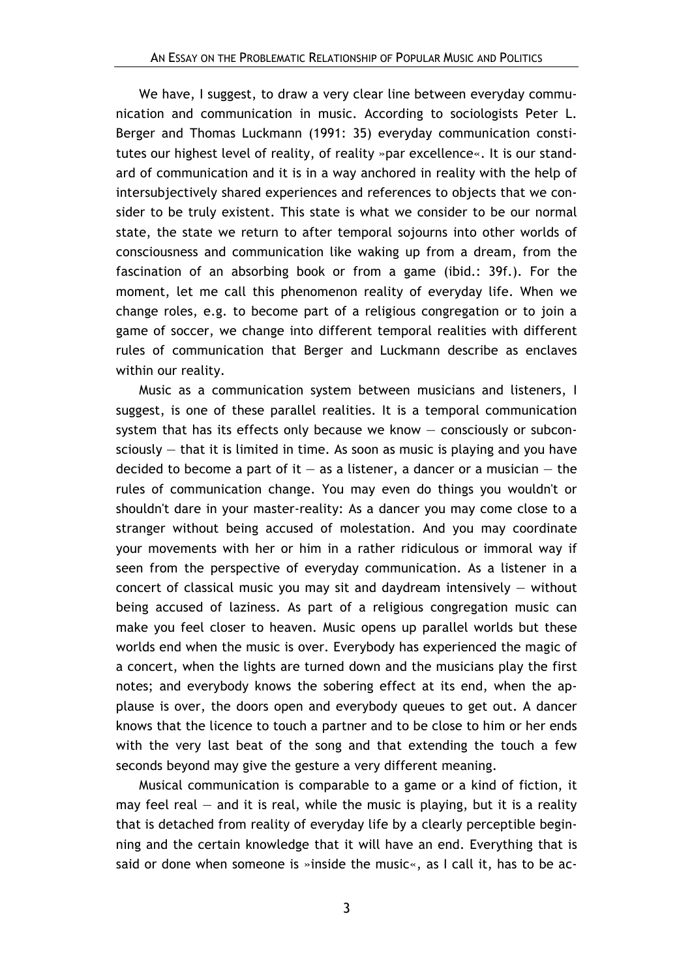We have, I suggest, to draw a very clear line between everyday communication and communication in music. According to sociologists Peter L. Berger and Thomas Luckmann (1991: 35) everyday communication constitutes our highest level of reality, of reality »par excellence«. It is our standard of communication and it is in a way anchored in reality with the help of intersubjectively shared experiences and references to objects that we consider to be truly existent. This state is what we consider to be our normal state, the state we return to after temporal sojourns into other worlds of consciousness and communication like waking up from a dream, from the fascination of an absorbing book or from a game (ibid.: 39f.). For the moment, let me call this phenomenon reality of everyday life. When we change roles, e.g. to become part of a religious congregation or to join a game of soccer, we change into different temporal realities with different rules of communication that Berger and Luckmann describe as enclaves within our reality.

Music as a communication system between musicians and listeners, I suggest, is one of these parallel realities. It is a temporal communication system that has its effects only because we know — consciously or subconsciously  $-$  that it is limited in time. As soon as music is playing and you have decided to become a part of it  $-$  as a listener, a dancer or a musician  $-$  the rules of communication change. You may even do things you wouldn't or shouldn't dare in your master-reality: As a dancer you may come close to a stranger without being accused of molestation. And you may coordinate your movements with her or him in a rather ridiculous or immoral way if seen from the perspective of everyday communication. As a listener in a concert of classical music you may sit and daydream intensively  $-$  without being accused of laziness. As part of a religious congregation music can make you feel closer to heaven. Music opens up parallel worlds but these worlds end when the music is over. Everybody has experienced the magic of a concert, when the lights are turned down and the musicians play the first notes; and everybody knows the sobering effect at its end, when the applause is over, the doors open and everybody queues to get out. A dancer knows that the licence to touch a partner and to be close to him or her ends with the very last beat of the song and that extending the touch a few seconds beyond may give the gesture a very different meaning.

Musical communication is comparable to a game or a kind of fiction, it may feel real  $-$  and it is real, while the music is playing, but it is a reality that is detached from reality of everyday life by a clearly perceptible beginning and the certain knowledge that it will have an end. Everything that is said or done when someone is »inside the music«, as I call it, has to be ac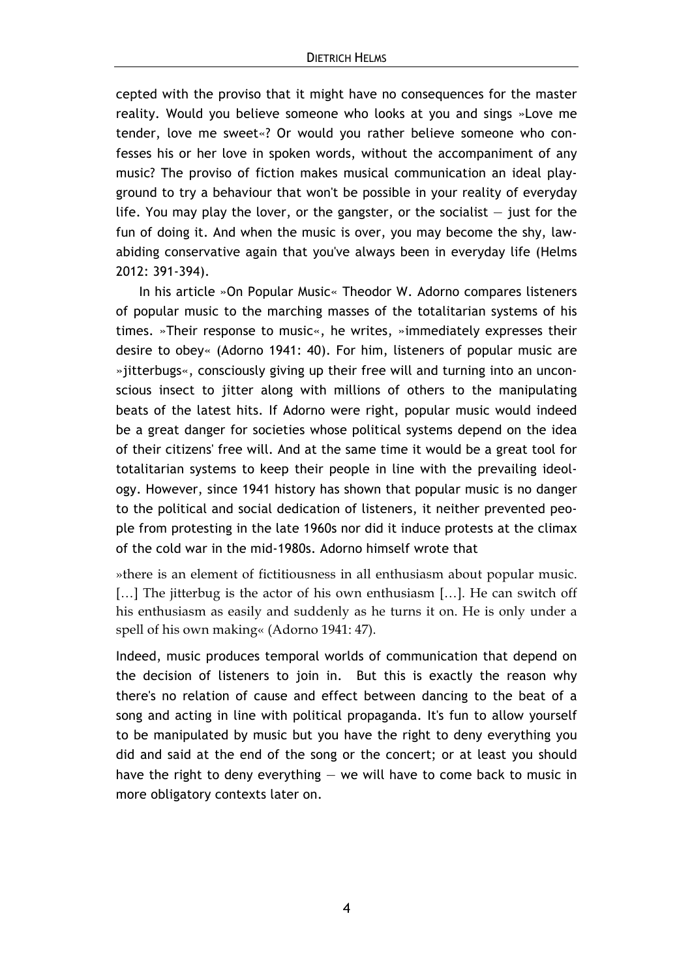cepted with the proviso that it might have no consequences for the master reality. Would you believe someone who looks at you and sings »Love me tender, love me sweet«? Or would you rather believe someone who confesses his or her love in spoken words, without the accompaniment of any music? The proviso of fiction makes musical communication an ideal playground to try a behaviour that won't be possible in your reality of everyday life. You may play the lover, or the gangster, or the socialist  $-$  just for the fun of doing it. And when the music is over, you may become the shy, lawabiding conservative again that you've always been in everyday life (Helms 2012: 391-394).

In his article »On Popular Music« Theodor W. Adorno compares listeners of popular music to the marching masses of the totalitarian systems of his times. »Their response to music«, he writes, »immediately expresses their desire to obey« (Adorno 1941: 40). For him, listeners of popular music are »jitterbugs«, consciously giving up their free will and turning into an unconscious insect to jitter along with millions of others to the manipulating beats of the latest hits. If Adorno were right, popular music would indeed be a great danger for societies whose political systems depend on the idea of their citizens' free will. And at the same time it would be a great tool for totalitarian systems to keep their people in line with the prevailing ideology. However, since 1941 history has shown that popular music is no danger to the political and social dedication of listeners, it neither prevented people from protesting in the late 1960s nor did it induce protests at the climax of the cold war in the mid-1980s. Adorno himself wrote that

»there is an element of fictitiousness in all enthusiasm about popular music. [...] The jitterbug is the actor of his own enthusiasm [...]. He can switch off his enthusiasm as easily and suddenly as he turns it on. He is only under a spell of his own making« (Adorno 1941: 47).

Indeed, music produces temporal worlds of communication that depend on the decision of listeners to join in. But this is exactly the reason why there's no relation of cause and effect between dancing to the beat of a song and acting in line with political propaganda. It's fun to allow yourself to be manipulated by music but you have the right to deny everything you did and said at the end of the song or the concert; or at least you should have the right to deny everything — we will have to come back to music in more obligatory contexts later on.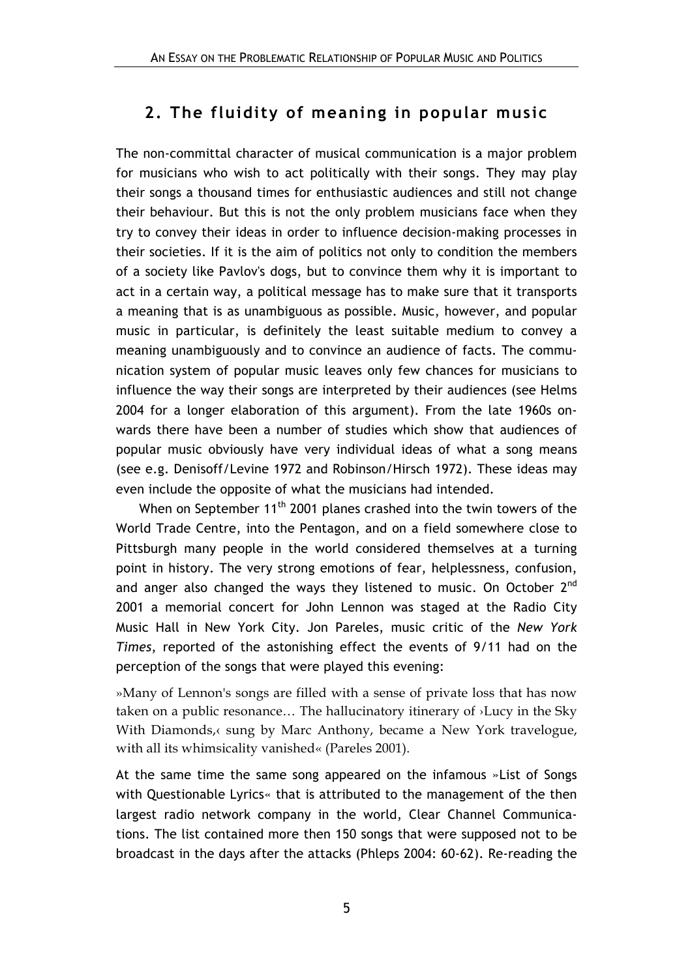## **2. The fluidity of meaning in popular music**

The non-committal character of musical communication is a major problem for musicians who wish to act politically with their songs. They may play their songs a thousand times for enthusiastic audiences and still not change their behaviour. But this is not the only problem musicians face when they try to convey their ideas in order to influence decision-making processes in their societies. If it is the aim of politics not only to condition the members of a society like Pavlov's dogs, but to convince them why it is important to act in a certain way, a political message has to make sure that it transports a meaning that is as unambiguous as possible. Music, however, and popular music in particular, is definitely the least suitable medium to convey a meaning unambiguously and to convince an audience of facts. The communication system of popular music leaves only few chances for musicians to influence the way their songs are interpreted by their audiences (see Helms 2004 for a longer elaboration of this argument). From the late 1960s onwards there have been a number of studies which show that audiences of popular music obviously have very individual ideas of what a song means (see e.g. Denisoff/Levine 1972 and Robinson/Hirsch 1972). These ideas may even include the opposite of what the musicians had intended.

When on September  $11<sup>th</sup>$  2001 planes crashed into the twin towers of the World Trade Centre, into the Pentagon, and on a field somewhere close to Pittsburgh many people in the world considered themselves at a turning point in history. The very strong emotions of fear, helplessness, confusion, and anger also changed the ways they listened to music. On October 2<sup>nd</sup> 2001 a memorial concert for John Lennon was staged at the Radio City Music Hall in New York City. Jon Pareles, music critic of the *New York Times*, reported of the astonishing effect the events of 9/11 had on the perception of the songs that were played this evening:

»Many of Lennon's songs are filled with a sense of private loss that has now taken on a public resonance… The hallucinatory itinerary of ›Lucy in the Sky With Diamonds, sung by Marc Anthony, became a New York travelogue, with all its whimsicality vanished« (Pareles 2001).

At the same time the same song appeared on the infamous »List of Songs with Questionable Lyrics« that is attributed to the management of the then largest radio network company in the world, Clear Channel Communications. The list contained more then 150 songs that were supposed not to be broadcast in the days after the attacks (Phleps 2004: 60-62). Re-reading the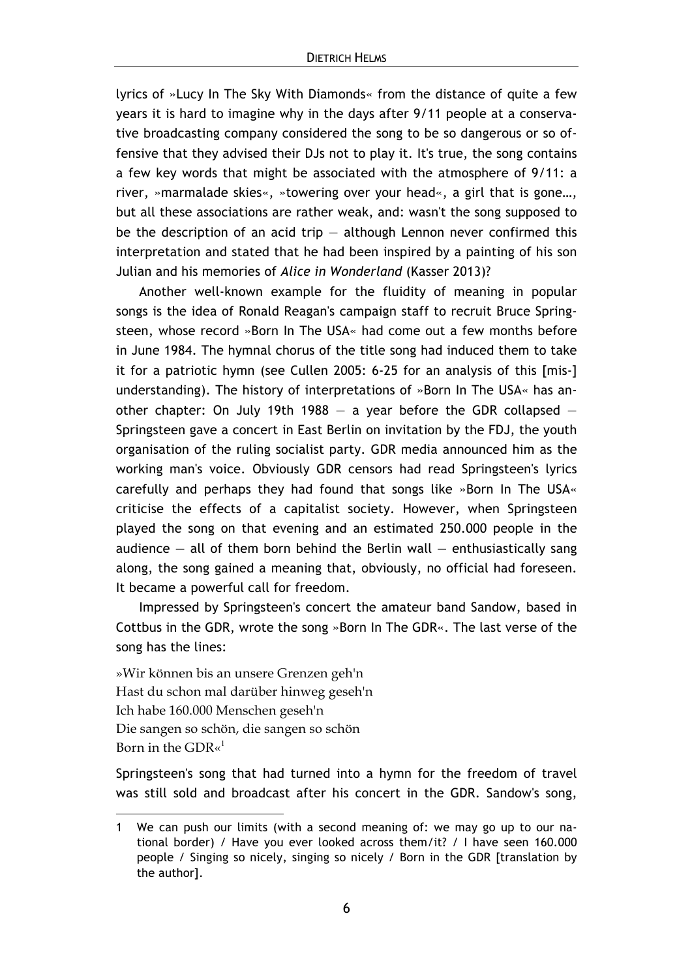lyrics of »Lucy In The Sky With Diamonds« from the distance of quite a few years it is hard to imagine why in the days after 9/11 people at a conservative broadcasting company considered the song to be so dangerous or so offensive that they advised their DJs not to play it. It's true, the song contains a few key words that might be associated with the atmosphere of 9/11: a river, »marmalade skies«, »towering over your head«, a girl that is gone…, but all these associations are rather weak, and: wasn't the song supposed to be the description of an acid trip  $-$  although Lennon never confirmed this interpretation and stated that he had been inspired by a painting of his son Julian and his memories of *Alice in Wonderland* (Kasser 2013)?

Another well-known example for the fluidity of meaning in popular songs is the idea of Ronald Reagan's campaign staff to recruit Bruce Springsteen, whose record »Born In The USA« had come out a few months before in June 1984. The hymnal chorus of the title song had induced them to take it for a patriotic hymn (see Cullen 2005: 6-25 for an analysis of this [mis-] understanding). The history of interpretations of »Born In The USA« has another chapter: On July 19th 1988  $-$  a year before the GDR collapsed  $-$ Springsteen gave a concert in East Berlin on invitation by the FDJ, the youth organisation of the ruling socialist party. GDR media announced him as the working man's voice. Obviously GDR censors had read Springsteen's lyrics carefully and perhaps they had found that songs like »Born In The USA« criticise the effects of a capitalist society. However, when Springsteen played the song on that evening and an estimated 250.000 people in the audience  $-$  all of them born behind the Berlin wall  $-$  enthusiastically sang along, the song gained a meaning that, obviously, no official had foreseen. It became a powerful call for freedom.

Impressed by Springsteen's concert the amateur band Sandow, based in Cottbus in the GDR, wrote the song »Born In The GDR«. The last verse of the song has the lines:

»Wir können bis an unsere Grenzen geh'n Hast du schon mal darüber hinweg geseh'n Ich habe 160.000 Menschen geseh'n Die sangen so schön, die sangen so schön Born in the GDR $\alpha^1$ 

 $\overline{a}$ 

Springsteen's song that had turned into a hymn for the freedom of travel was still sold and broadcast after his concert in the GDR. Sandow's song,

<sup>1</sup> We can push our limits (with a second meaning of: we may go up to our national border) / Have you ever looked across them/it? / I have seen 160.000 people / Singing so nicely, singing so nicely / Born in the GDR [translation by the author].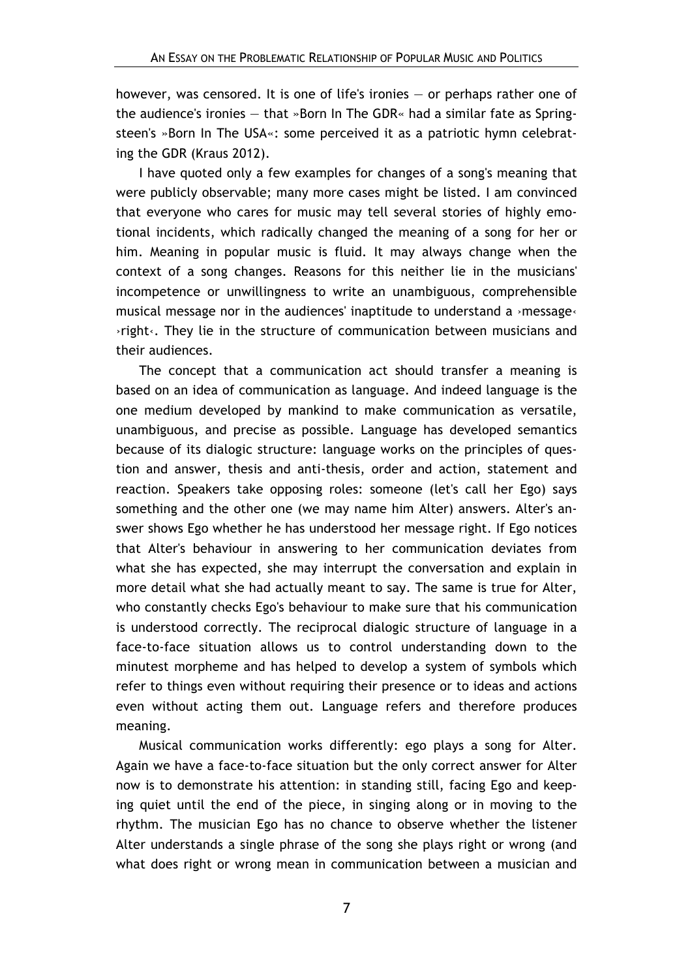however, was censored. It is one of life's ironies — or perhaps rather one of the audience's ironies — that »Born In The GDR« had a similar fate as Springsteen's »Born In The USA«: some perceived it as a patriotic hymn celebrating the GDR (Kraus 2012).

I have quoted only a few examples for changes of a song's meaning that were publicly observable; many more cases might be listed. I am convinced that everyone who cares for music may tell several stories of highly emotional incidents, which radically changed the meaning of a song for her or him. Meaning in popular music is fluid. It may always change when the context of a song changes. Reasons for this neither lie in the musicians' incompetence or unwillingness to write an unambiguous, comprehensible musical message nor in the audiences' inaptitude to understand a  $\cdot$ message $\cdot$ ›right‹. They lie in the structure of communication between musicians and their audiences.

The concept that a communication act should transfer a meaning is based on an idea of communication as language. And indeed language is the one medium developed by mankind to make communication as versatile, unambiguous, and precise as possible. Language has developed semantics because of its dialogic structure: language works on the principles of question and answer, thesis and anti-thesis, order and action, statement and reaction. Speakers take opposing roles: someone (let's call her Ego) says something and the other one (we may name him Alter) answers. Alter's answer shows Ego whether he has understood her message right. If Ego notices that Alter's behaviour in answering to her communication deviates from what she has expected, she may interrupt the conversation and explain in more detail what she had actually meant to say. The same is true for Alter, who constantly checks Ego's behaviour to make sure that his communication is understood correctly. The reciprocal dialogic structure of language in a face-to-face situation allows us to control understanding down to the minutest morpheme and has helped to develop a system of symbols which refer to things even without requiring their presence or to ideas and actions even without acting them out. Language refers and therefore produces meaning.

Musical communication works differently: ego plays a song for Alter. Again we have a face-to-face situation but the only correct answer for Alter now is to demonstrate his attention: in standing still, facing Ego and keeping quiet until the end of the piece, in singing along or in moving to the rhythm. The musician Ego has no chance to observe whether the listener Alter understands a single phrase of the song she plays right or wrong (and what does right or wrong mean in communication between a musician and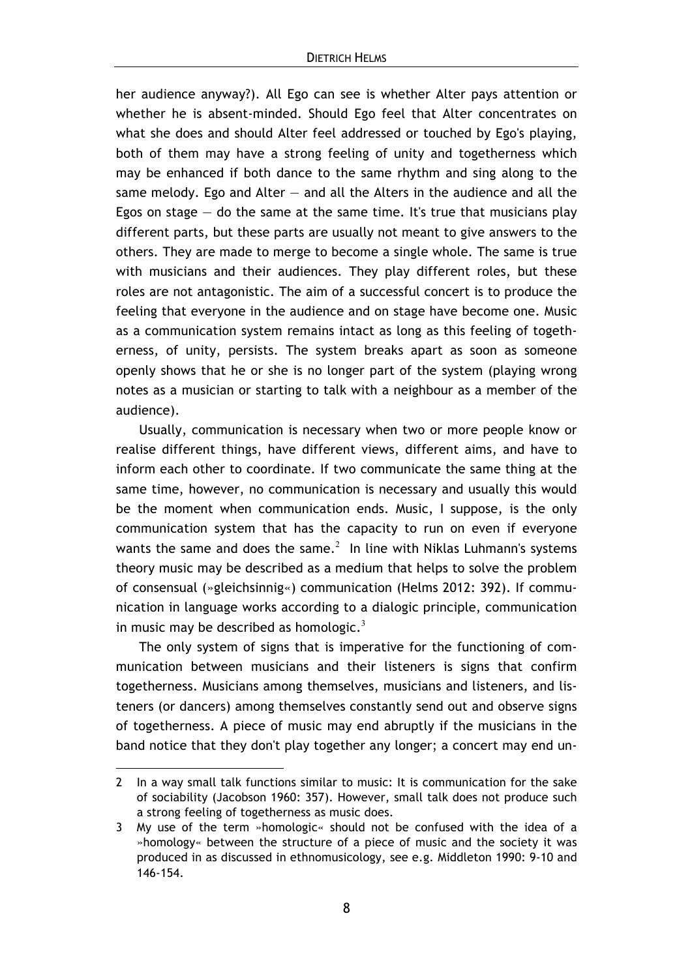her audience anyway?). All Ego can see is whether Alter pays attention or whether he is absent-minded. Should Ego feel that Alter concentrates on what she does and should Alter feel addressed or touched by Ego's playing, both of them may have a strong feeling of unity and togetherness which may be enhanced if both dance to the same rhythm and sing along to the same melody. Ego and Alter — and all the Alters in the audience and all the Egos on stage  $-$  do the same at the same time. It's true that musicians play different parts, but these parts are usually not meant to give answers to the others. They are made to merge to become a single whole. The same is true with musicians and their audiences. They play different roles, but these roles are not antagonistic. The aim of a successful concert is to produce the feeling that everyone in the audience and on stage have become one. Music as a communication system remains intact as long as this feeling of togetherness, of unity, persists. The system breaks apart as soon as someone openly shows that he or she is no longer part of the system (playing wrong notes as a musician or starting to talk with a neighbour as a member of the audience).

Usually, communication is necessary when two or more people know or realise different things, have different views, different aims, and have to inform each other to coordinate. If two communicate the same thing at the same time, however, no communication is necessary and usually this would be the moment when communication ends. Music, I suppose, is the only communication system that has the capacity to run on even if everyone wants the same and does the same. $^2$  In line with Niklas Luhmann's systems theory music may be described as a medium that helps to solve the problem of consensual (»gleichsinnig«) communication (Helms 2012: 392). If communication in language works according to a dialogic principle, communication in music may be described as homologic.<sup>3</sup>

The only system of signs that is imperative for the functioning of communication between musicians and their listeners is signs that confirm togetherness. Musicians among themselves, musicians and listeners, and listeners (or dancers) among themselves constantly send out and observe signs of togetherness. A piece of music may end abruptly if the musicians in the band notice that they don't play together any longer; a concert may end un-

 $\overline{a}$ 

<sup>2</sup> In a way small talk functions similar to music: It is communication for the sake of sociability (Jacobson 1960: 357). However, small talk does not produce such a strong feeling of togetherness as music does.

<sup>3</sup> My use of the term »homologic« should not be confused with the idea of a »homology« between the structure of a piece of music and the society it was produced in as discussed in ethnomusicology, see e.g. Middleton 1990: 9-10 and 146-154.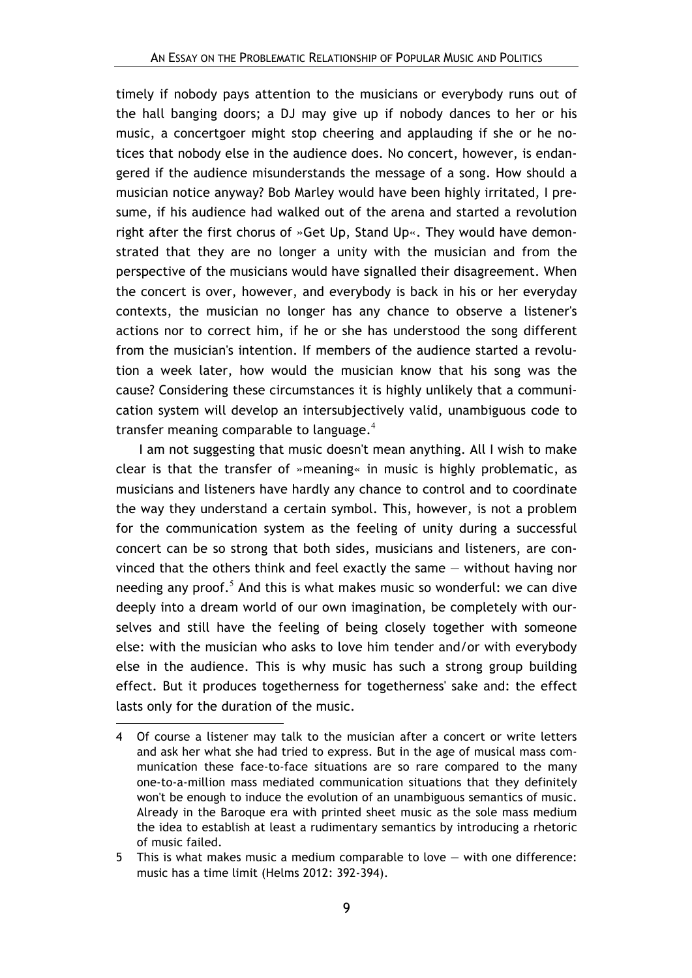timely if nobody pays attention to the musicians or everybody runs out of the hall banging doors; a DJ may give up if nobody dances to her or his music, a concertgoer might stop cheering and applauding if she or he notices that nobody else in the audience does. No concert, however, is endangered if the audience misunderstands the message of a song. How should a musician notice anyway? Bob Marley would have been highly irritated, I presume, if his audience had walked out of the arena and started a revolution right after the first chorus of »Get Up, Stand Up«. They would have demonstrated that they are no longer a unity with the musician and from the perspective of the musicians would have signalled their disagreement. When the concert is over, however, and everybody is back in his or her everyday contexts, the musician no longer has any chance to observe a listener's actions nor to correct him, if he or she has understood the song different from the musician's intention. If members of the audience started a revolution a week later, how would the musician know that his song was the cause? Considering these circumstances it is highly unlikely that a communication system will develop an intersubjectively valid, unambiguous code to transfer meaning comparable to language. $4$ 

I am not suggesting that music doesn't mean anything. All I wish to make clear is that the transfer of »meaning« in music is highly problematic, as musicians and listeners have hardly any chance to control and to coordinate the way they understand a certain symbol. This, however, is not a problem for the communication system as the feeling of unity during a successful concert can be so strong that both sides, musicians and listeners, are convinced that the others think and feel exactly the same — without having nor needing any proof.<sup>5</sup> And this is what makes music so wonderful: we can dive deeply into a dream world of our own imagination, be completely with ourselves and still have the feeling of being closely together with someone else: with the musician who asks to love him tender and/or with everybody else in the audience. This is why music has such a strong group building effect. But it produces togetherness for togetherness' sake and: the effect lasts only for the duration of the music.

 $\overline{a}$ 

<sup>4</sup> Of course a listener may talk to the musician after a concert or write letters and ask her what she had tried to express. But in the age of musical mass communication these face-to-face situations are so rare compared to the many one-to-a-million mass mediated communication situations that they definitely won't be enough to induce the evolution of an unambiguous semantics of music. Already in the Baroque era with printed sheet music as the sole mass medium the idea to establish at least a rudimentary semantics by introducing a rhetoric of music failed.

<sup>5</sup> This is what makes music a medium comparable to love — with one difference: music has a time limit (Helms 2012: 392-394).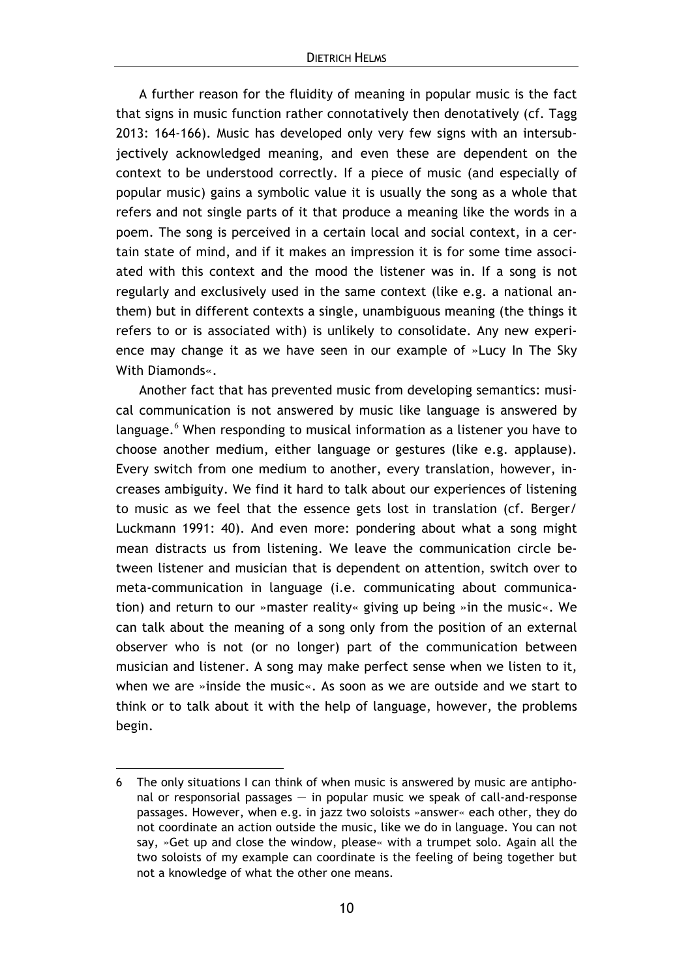A further reason for the fluidity of meaning in popular music is the fact that signs in music function rather connotatively then denotatively (cf. Tagg 2013: 164-166). Music has developed only very few signs with an intersubjectively acknowledged meaning, and even these are dependent on the context to be understood correctly. If a piece of music (and especially of popular music) gains a symbolic value it is usually the song as a whole that refers and not single parts of it that produce a meaning like the words in a poem. The song is perceived in a certain local and social context, in a certain state of mind, and if it makes an impression it is for some time associated with this context and the mood the listener was in. If a song is not regularly and exclusively used in the same context (like e.g. a national anthem) but in different contexts a single, unambiguous meaning (the things it refers to or is associated with) is unlikely to consolidate. Any new experience may change it as we have seen in our example of »Lucy In The Sky With Diamonds«.

Another fact that has prevented music from developing semantics: musical communication is not answered by music like language is answered by language. $6$  When responding to musical information as a listener you have to choose another medium, either language or gestures (like e.g. applause). Every switch from one medium to another, every translation, however, increases ambiguity. We find it hard to talk about our experiences of listening to music as we feel that the essence gets lost in translation (cf. Berger/ Luckmann 1991: 40). And even more: pondering about what a song might mean distracts us from listening. We leave the communication circle between listener and musician that is dependent on attention, switch over to meta-communication in language (i.e. communicating about communication) and return to our »master reality« giving up being »in the music«. We can talk about the meaning of a song only from the position of an external observer who is not (or no longer) part of the communication between musician and listener. A song may make perfect sense when we listen to it, when we are »inside the music«. As soon as we are outside and we start to think or to talk about it with the help of language, however, the problems begin.

 $\overline{a}$ 

<sup>6</sup> The only situations I can think of when music is answered by music are antiphonal or responsorial passages — in popular music we speak of call-and-response passages. However, when e.g. in jazz two soloists »answer« each other, they do not coordinate an action outside the music, like we do in language. You can not say, »Get up and close the window, please« with a trumpet solo. Again all the two soloists of my example can coordinate is the feeling of being together but not a knowledge of what the other one means.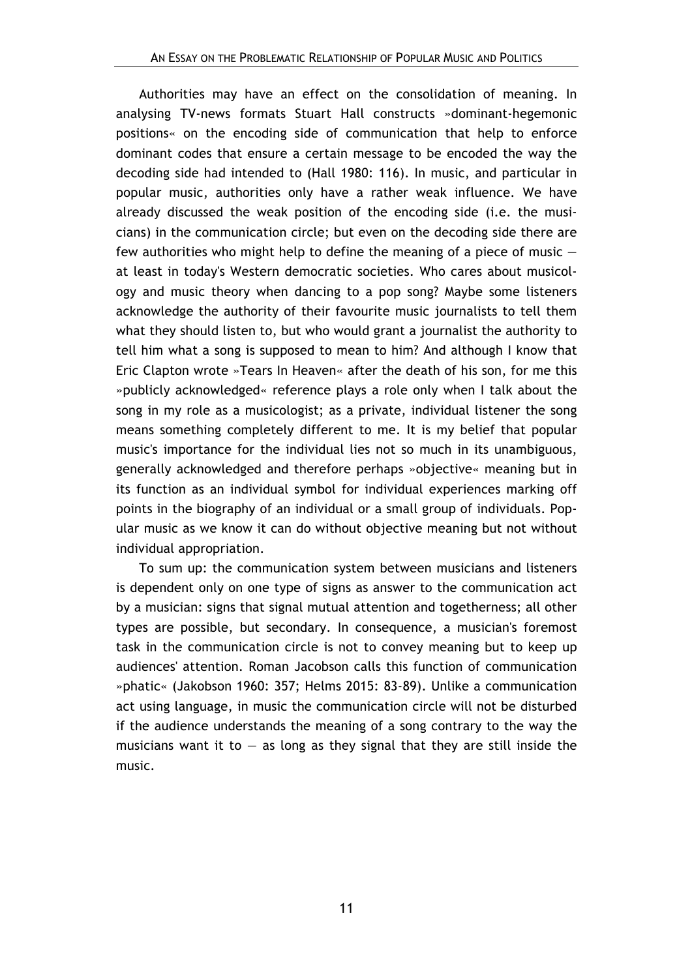Authorities may have an effect on the consolidation of meaning. In analysing TV-news formats Stuart Hall constructs »dominant-hegemonic positions« on the encoding side of communication that help to enforce dominant codes that ensure a certain message to be encoded the way the decoding side had intended to (Hall 1980: 116). In music, and particular in popular music, authorities only have a rather weak influence. We have already discussed the weak position of the encoding side (i.e. the musicians) in the communication circle; but even on the decoding side there are few authorities who might help to define the meaning of a piece of music  $$ at least in today's Western democratic societies. Who cares about musicology and music theory when dancing to a pop song? Maybe some listeners acknowledge the authority of their favourite music journalists to tell them what they should listen to, but who would grant a journalist the authority to tell him what a song is supposed to mean to him? And although I know that Eric Clapton wrote »Tears In Heaven« after the death of his son, for me this »publicly acknowledged« reference plays a role only when I talk about the song in my role as a musicologist; as a private, individual listener the song means something completely different to me. It is my belief that popular music's importance for the individual lies not so much in its unambiguous, generally acknowledged and therefore perhaps »objective« meaning but in its function as an individual symbol for individual experiences marking off points in the biography of an individual or a small group of individuals. Popular music as we know it can do without objective meaning but not without individual appropriation.

To sum up: the communication system between musicians and listeners is dependent only on one type of signs as answer to the communication act by a musician: signs that signal mutual attention and togetherness; all other types are possible, but secondary. In consequence, a musician's foremost task in the communication circle is not to convey meaning but to keep up audiences' attention. Roman Jacobson calls this function of communication »phatic« (Jakobson 1960: 357; Helms 2015: 83-89). Unlike a communication act using language, in music the communication circle will not be disturbed if the audience understands the meaning of a song contrary to the way the musicians want it to  $-$  as long as they signal that they are still inside the music.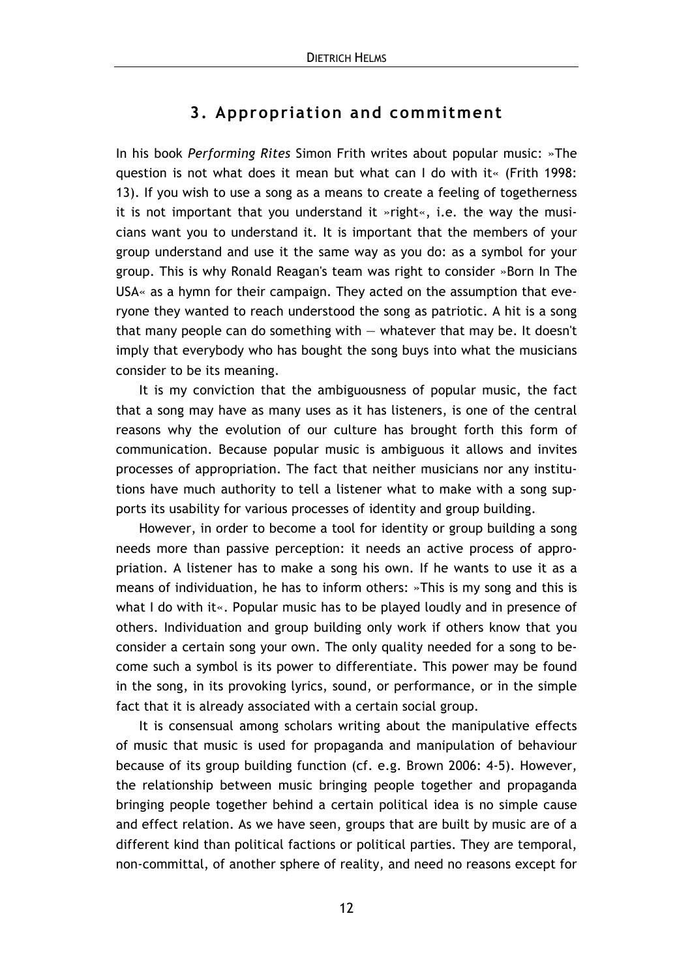## **3. Appropriation and commitment**

In his book *Performing Rites* Simon Frith writes about popular music: »The question is not what does it mean but what can I do with it« (Frith 1998: 13). If you wish to use a song as a means to create a feeling of togetherness it is not important that you understand it »right«, i.e. the way the musicians want you to understand it. It is important that the members of your group understand and use it the same way as you do: as a symbol for your group. This is why Ronald Reagan's team was right to consider »Born In The USA« as a hymn for their campaign. They acted on the assumption that everyone they wanted to reach understood the song as patriotic. A hit is a song that many people can do something with  $-$  whatever that may be. It doesn't imply that everybody who has bought the song buys into what the musicians consider to be its meaning.

It is my conviction that the ambiguousness of popular music, the fact that a song may have as many uses as it has listeners, is one of the central reasons why the evolution of our culture has brought forth this form of communication. Because popular music is ambiguous it allows and invites processes of appropriation. The fact that neither musicians nor any institutions have much authority to tell a listener what to make with a song supports its usability for various processes of identity and group building.

However, in order to become a tool for identity or group building a song needs more than passive perception: it needs an active process of appropriation. A listener has to make a song his own. If he wants to use it as a means of individuation, he has to inform others: »This is my song and this is what I do with it«. Popular music has to be played loudly and in presence of others. Individuation and group building only work if others know that you consider a certain song your own. The only quality needed for a song to become such a symbol is its power to differentiate. This power may be found in the song, in its provoking lyrics, sound, or performance, or in the simple fact that it is already associated with a certain social group.

It is consensual among scholars writing about the manipulative effects of music that music is used for propaganda and manipulation of behaviour because of its group building function (cf. e.g. Brown 2006: 4-5). However, the relationship between music bringing people together and propaganda bringing people together behind a certain political idea is no simple cause and effect relation. As we have seen, groups that are built by music are of a different kind than political factions or political parties. They are temporal, non-committal, of another sphere of reality, and need no reasons except for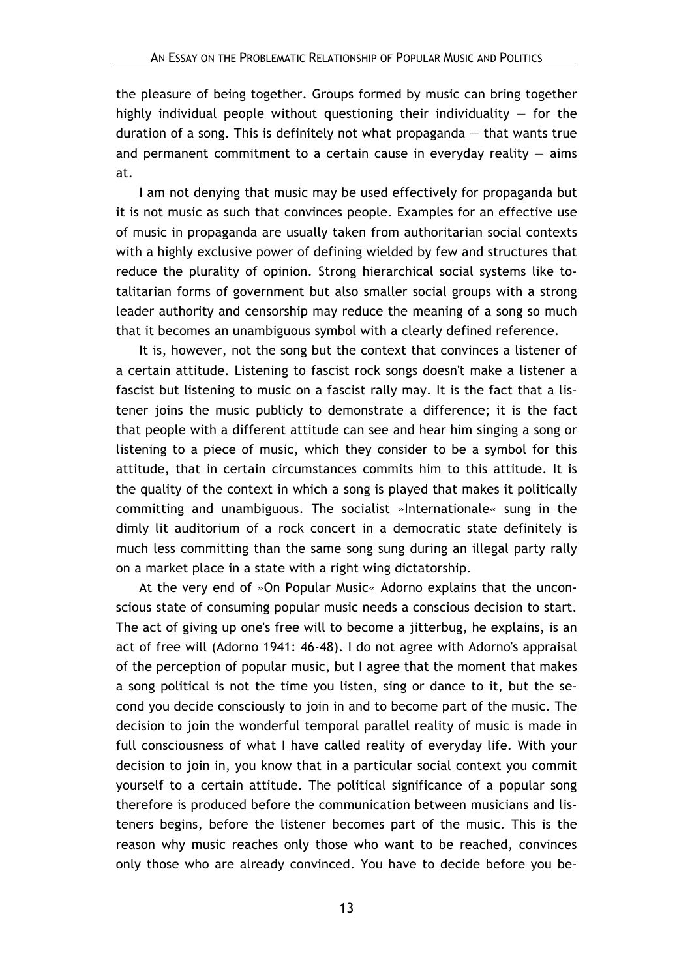the pleasure of being together. Groups formed by music can bring together highly individual people without questioning their individuality  $-$  for the duration of a song. This is definitely not what propaganda — that wants true and permanent commitment to a certain cause in everyday reality  $-$  aims at.

I am not denying that music may be used effectively for propaganda but it is not music as such that convinces people. Examples for an effective use of music in propaganda are usually taken from authoritarian social contexts with a highly exclusive power of defining wielded by few and structures that reduce the plurality of opinion. Strong hierarchical social systems like totalitarian forms of government but also smaller social groups with a strong leader authority and censorship may reduce the meaning of a song so much that it becomes an unambiguous symbol with a clearly defined reference.

It is, however, not the song but the context that convinces a listener of a certain attitude. Listening to fascist rock songs doesn't make a listener a fascist but listening to music on a fascist rally may. It is the fact that a listener joins the music publicly to demonstrate a difference; it is the fact that people with a different attitude can see and hear him singing a song or listening to a piece of music, which they consider to be a symbol for this attitude, that in certain circumstances commits him to this attitude. It is the quality of the context in which a song is played that makes it politically committing and unambiguous. The socialist »Internationale« sung in the dimly lit auditorium of a rock concert in a democratic state definitely is much less committing than the same song sung during an illegal party rally on a market place in a state with a right wing dictatorship.

At the very end of »On Popular Music« Adorno explains that the unconscious state of consuming popular music needs a conscious decision to start. The act of giving up one's free will to become a jitterbug, he explains, is an act of free will (Adorno 1941: 46-48). I do not agree with Adorno's appraisal of the perception of popular music, but I agree that the moment that makes a song political is not the time you listen, sing or dance to it, but the second you decide consciously to join in and to become part of the music. The decision to join the wonderful temporal parallel reality of music is made in full consciousness of what I have called reality of everyday life. With your decision to join in, you know that in a particular social context you commit yourself to a certain attitude. The political significance of a popular song therefore is produced before the communication between musicians and listeners begins, before the listener becomes part of the music. This is the reason why music reaches only those who want to be reached, convinces only those who are already convinced. You have to decide before you be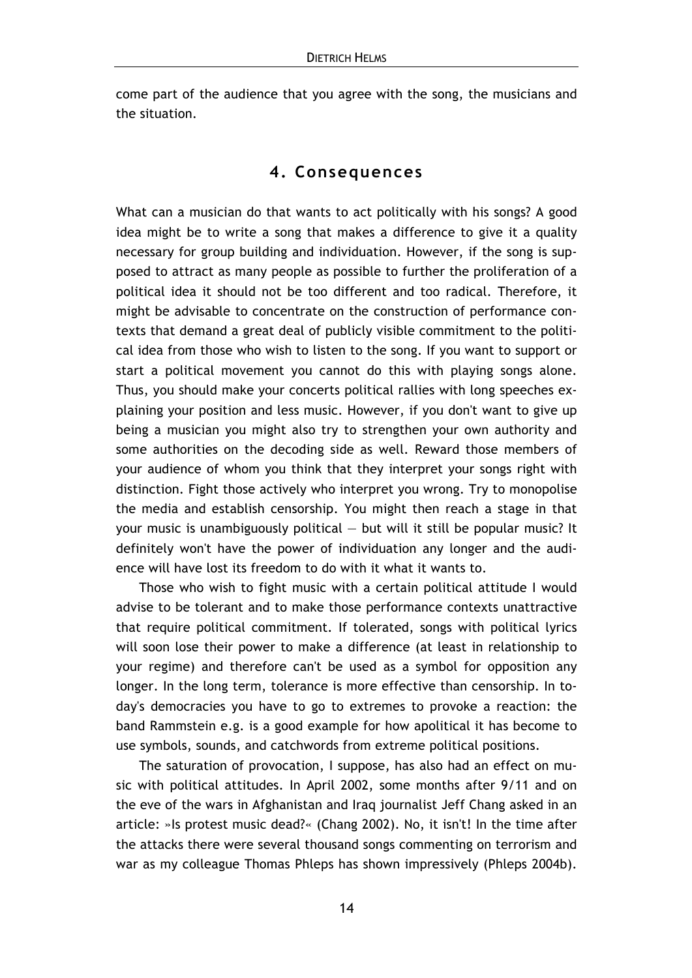come part of the audience that you agree with the song, the musicians and the situation.

## **4. Consequences**

What can a musician do that wants to act politically with his songs? A good idea might be to write a song that makes a difference to give it a quality necessary for group building and individuation. However, if the song is supposed to attract as many people as possible to further the proliferation of a political idea it should not be too different and too radical. Therefore, it might be advisable to concentrate on the construction of performance contexts that demand a great deal of publicly visible commitment to the political idea from those who wish to listen to the song. If you want to support or start a political movement you cannot do this with playing songs alone. Thus, you should make your concerts political rallies with long speeches explaining your position and less music. However, if you don't want to give up being a musician you might also try to strengthen your own authority and some authorities on the decoding side as well. Reward those members of your audience of whom you think that they interpret your songs right with distinction. Fight those actively who interpret you wrong. Try to monopolise the media and establish censorship. You might then reach a stage in that your music is unambiguously political — but will it still be popular music? It definitely won't have the power of individuation any longer and the audience will have lost its freedom to do with it what it wants to.

Those who wish to fight music with a certain political attitude I would advise to be tolerant and to make those performance contexts unattractive that require political commitment. If tolerated, songs with political lyrics will soon lose their power to make a difference (at least in relationship to your regime) and therefore can't be used as a symbol for opposition any longer. In the long term, tolerance is more effective than censorship. In today's democracies you have to go to extremes to provoke a reaction: the band Rammstein e.g. is a good example for how apolitical it has become to use symbols, sounds, and catchwords from extreme political positions.

The saturation of provocation, I suppose, has also had an effect on music with political attitudes. In April 2002, some months after 9/11 and on the eve of the wars in Afghanistan and Iraq journalist Jeff Chang asked in an article: »Is protest music dead?« (Chang 2002). No, it isn't! In the time after the attacks there were several thousand songs commenting on terrorism and war as my colleague Thomas Phleps has shown impressively (Phleps 2004b).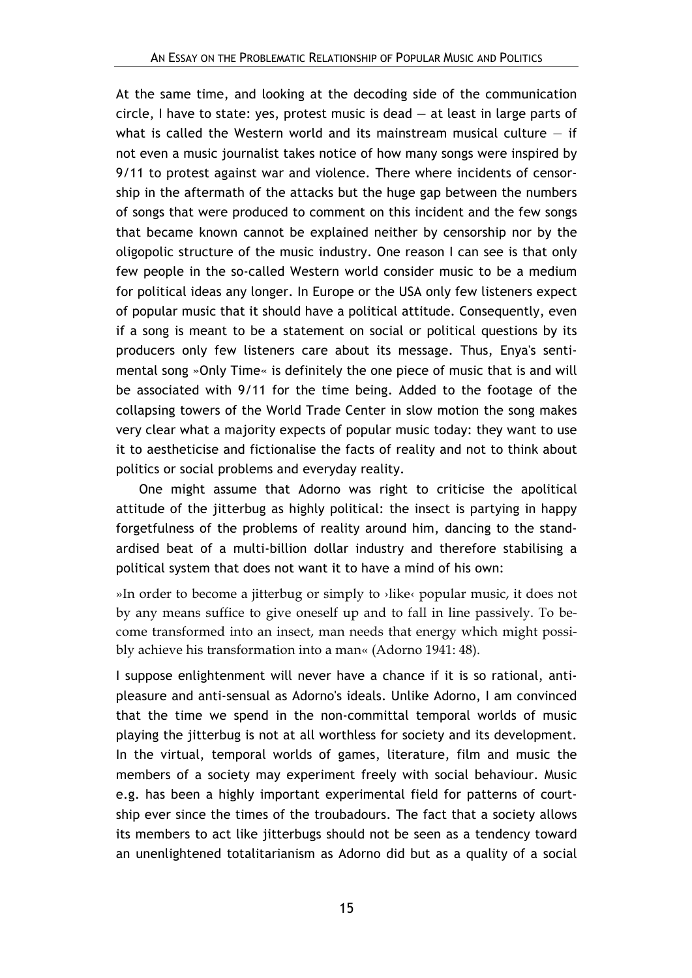At the same time, and looking at the decoding side of the communication circle, I have to state: yes, protest music is dead  $-$  at least in large parts of what is called the Western world and its mainstream musical culture  $-$  if not even a music journalist takes notice of how many songs were inspired by 9/11 to protest against war and violence. There where incidents of censorship in the aftermath of the attacks but the huge gap between the numbers of songs that were produced to comment on this incident and the few songs that became known cannot be explained neither by censorship nor by the oligopolic structure of the music industry. One reason I can see is that only few people in the so-called Western world consider music to be a medium for political ideas any longer. In Europe or the USA only few listeners expect of popular music that it should have a political attitude. Consequently, even if a song is meant to be a statement on social or political questions by its producers only few listeners care about its message. Thus, Enya's sentimental song »Only Time« is definitely the one piece of music that is and will be associated with 9/11 for the time being. Added to the footage of the collapsing towers of the World Trade Center in slow motion the song makes very clear what a majority expects of popular music today: they want to use it to aestheticise and fictionalise the facts of reality and not to think about politics or social problems and everyday reality.

One might assume that Adorno was right to criticise the apolitical attitude of the jitterbug as highly political: the insect is partying in happy forgetfulness of the problems of reality around him, dancing to the standardised beat of a multi-billion dollar industry and therefore stabilising a political system that does not want it to have a mind of his own:

»In order to become a jitterbug or simply to ›like‹ popular music, it does not by any means suffice to give oneself up and to fall in line passively. To become transformed into an insect, man needs that energy which might possibly achieve his transformation into a man« (Adorno 1941: 48).

I suppose enlightenment will never have a chance if it is so rational, antipleasure and anti-sensual as Adorno's ideals. Unlike Adorno, I am convinced that the time we spend in the non-committal temporal worlds of music playing the jitterbug is not at all worthless for society and its development. In the virtual, temporal worlds of games, literature, film and music the members of a society may experiment freely with social behaviour. Music e.g. has been a highly important experimental field for patterns of courtship ever since the times of the troubadours. The fact that a society allows its members to act like jitterbugs should not be seen as a tendency toward an unenlightened totalitarianism as Adorno did but as a quality of a social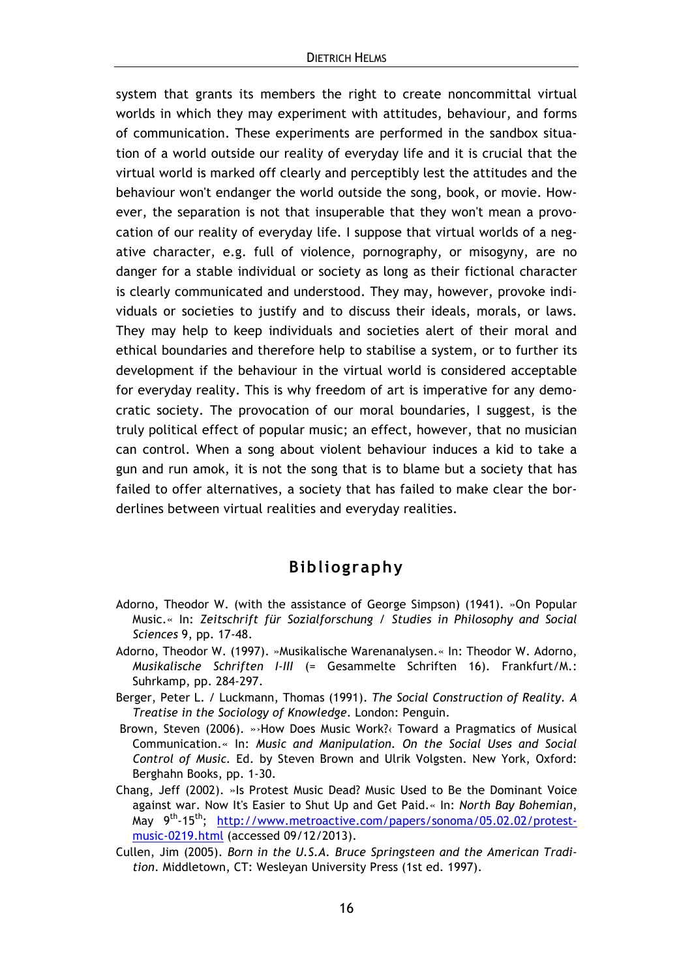system that grants its members the right to create noncommittal virtual worlds in which they may experiment with attitudes, behaviour, and forms of communication. These experiments are performed in the sandbox situation of a world outside our reality of everyday life and it is crucial that the virtual world is marked off clearly and perceptibly lest the attitudes and the behaviour won't endanger the world outside the song, book, or movie. However, the separation is not that insuperable that they won't mean a provocation of our reality of everyday life. I suppose that virtual worlds of a negative character, e.g. full of violence, pornography, or misogyny, are no danger for a stable individual or society as long as their fictional character is clearly communicated and understood. They may, however, provoke individuals or societies to justify and to discuss their ideals, morals, or laws. They may help to keep individuals and societies alert of their moral and ethical boundaries and therefore help to stabilise a system, or to further its development if the behaviour in the virtual world is considered acceptable for everyday reality. This is why freedom of art is imperative for any democratic society. The provocation of our moral boundaries, I suggest, is the truly political effect of popular music; an effect, however, that no musician can control. When a song about violent behaviour induces a kid to take a gun and run amok, it is not the song that is to blame but a society that has failed to offer alternatives, a society that has failed to make clear the borderlines between virtual realities and everyday realities.

### **Bibliography**

- Adorno, Theodor W. (with the assistance of George Simpson) (1941). »On Popular Music.« In: *Zeitschrift für Sozialforschung / Studies in Philosophy and Social Sciences* 9, pp. 17-48.
- Adorno, Theodor W. (1997). »Musikalische Warenanalysen.« In: Theodor W. Adorno, *Musikalische Schriften I-III* (= Gesammelte Schriften 16). Frankfurt/M.: Suhrkamp, pp. 284-297.
- Berger, Peter L. / Luckmann, Thomas (1991). *The Social Construction of Reality. A Treatise in the Sociology of Knowledge*. London: Penguin.
- Brown, Steven (2006). »›How Does Music Work?‹ Toward a Pragmatics of Musical Communication.« In: *Music and Manipulation. On the Social Uses and Social Control of Music.* Ed. by Steven Brown and Ulrik Volgsten. New York, Oxford: Berghahn Books, pp. 1-30.
- Chang, Jeff (2002). »Is Protest Music Dead? Music Used to Be the Dominant Voice against war. Now It's Easier to Shut Up and Get Paid.« In: *North Bay Bohemian*, May 9<sup>th</sup>-15<sup>th</sup>; http://www.metroactive.com/papers/sonoma/05.02.02/protestmusic-0219.html (accessed 09/12/2013).
- Cullen, Jim (2005). *Born in the U.S.A. Bruce Springsteen and the American Tradition*. Middletown, CT: Wesleyan University Press (1st ed. 1997).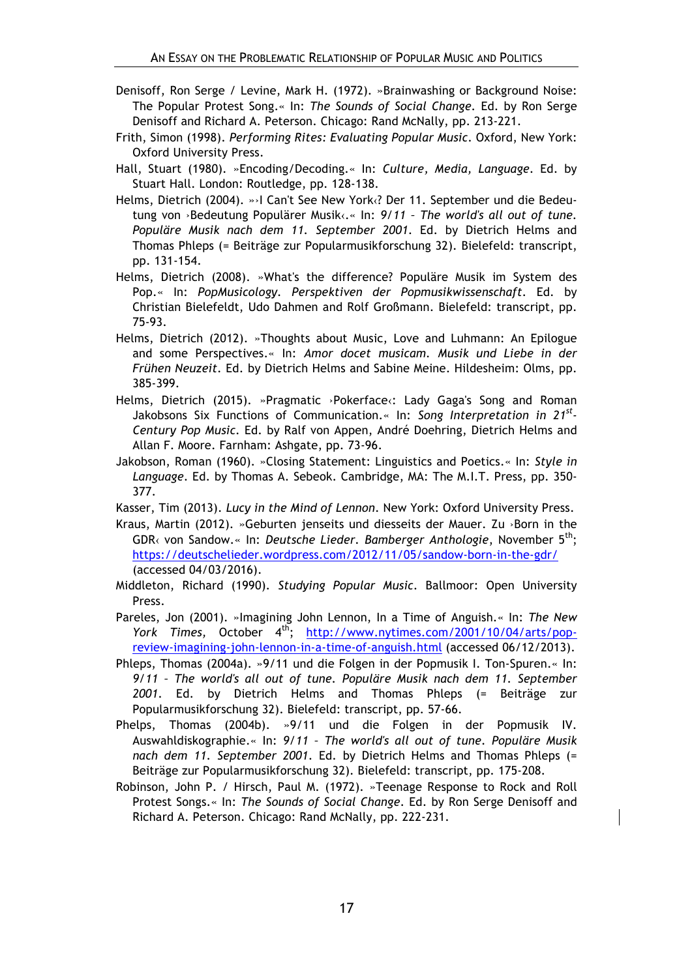- Denisoff, Ron Serge / Levine, Mark H. (1972). »Brainwashing or Background Noise: The Popular Protest Song.« In: *The Sounds of Social Change.* Ed. by Ron Serge Denisoff and Richard A. Peterson. Chicago: Rand McNally, pp. 213-221.
- Frith, Simon (1998). *Performing Rites: Evaluating Popular Music*. Oxford, New York: Oxford University Press.
- Hall, Stuart (1980). »Encoding/Decoding.« In: *Culture, Media, Language*. Ed. by Stuart Hall. London: Routledge, pp. 128-138.
- Helms, Dietrich (2004). »›I Can't See New York‹? Der 11. September und die Bedeutung von ›Bedeutung Populärer Musik‹.« In: *9/11 – The world's all out of tune. Populäre Musik nach dem 11. September 2001*. Ed. by Dietrich Helms and Thomas Phleps (= Beiträge zur Popularmusikforschung 32). Bielefeld: transcript, pp. 131-154.
- Helms, Dietrich (2008). »What's the difference? Populäre Musik im System des Pop.« In: *PopMusicology. Perspektiven der Popmusikwissenschaft*. Ed. by Christian Bielefeldt, Udo Dahmen and Rolf Großmann. Bielefeld: transcript, pp. 75-93.
- Helms, Dietrich (2012). »Thoughts about Music, Love and Luhmann: An Epilogue and some Perspectives.« In: *Amor docet musicam. Musik und Liebe in der Frühen Neuzeit*. Ed. by Dietrich Helms and Sabine Meine. Hildesheim: Olms, pp. 385-399.
- Helms, Dietrich (2015). »Pragmatic ›Pokerface‹: Lady Gaga's Song and Roman Jakobsons Six Functions of Communication.« In: *Song Interpretation in 21st-Century Pop Music*. Ed. by Ralf von Appen, André Doehring, Dietrich Helms and Allan F. Moore. Farnham: Ashgate, pp. 73-96.
- Jakobson, Roman (1960). »Closing Statement: Linguistics and Poetics.« In: *Style in Language*. Ed. by Thomas A. Sebeok. Cambridge, MA: The M.I.T. Press, pp. 350- 377.
- Kasser, Tim (2013). *Lucy in the Mind of Lennon*. New York: Oxford University Press.
- Kraus, Martin (2012). »Geburten jenseits und diesseits der Mauer. Zu ›Born in the GDR< von Sandow.« In: *Deutsche Lieder. Bamberger Anthologie*, November 5<sup>th</sup>: https://deutschelieder.wordpress.com/2012/11/05/sandow-born-in-the-gdr/ (accessed 04/03/2016).
- Middleton, Richard (1990). *Studying Popular Music*. Ballmoor: Open University Press.
- Pareles, Jon (2001). »Imagining John Lennon, In a Time of Anguish.« In: *The New York Times,* October 4<sup>th</sup>; http://www.nytimes.com/2001/10/04/arts/popreview-imagining-john-lennon-in-a-time-of-anguish.html (accessed 06/12/2013).
- Phleps, Thomas (2004a). »9/11 und die Folgen in der Popmusik I. Ton-Spuren.« In: *9/11 – The world's all out of tune. Populäre Musik nach dem 11. September 2001*. Ed. by Dietrich Helms and Thomas Phleps (= Beiträge zur Popularmusikforschung 32). Bielefeld: transcript, pp. 57-66.
- Phelps, Thomas (2004b). »9/11 und die Folgen in der Popmusik IV. Auswahldiskographie.« In: *9/11 – The world's all out of tune. Populäre Musik nach dem 11. September 2001*. Ed. by Dietrich Helms and Thomas Phleps (= Beiträge zur Popularmusikforschung 32). Bielefeld: transcript, pp. 175-208.
- Robinson, John P. / Hirsch, Paul M. (1972). »Teenage Response to Rock and Roll Protest Songs.« In: *The Sounds of Social Change*. Ed. by Ron Serge Denisoff and Richard A. Peterson. Chicago: Rand McNally, pp. 222-231.